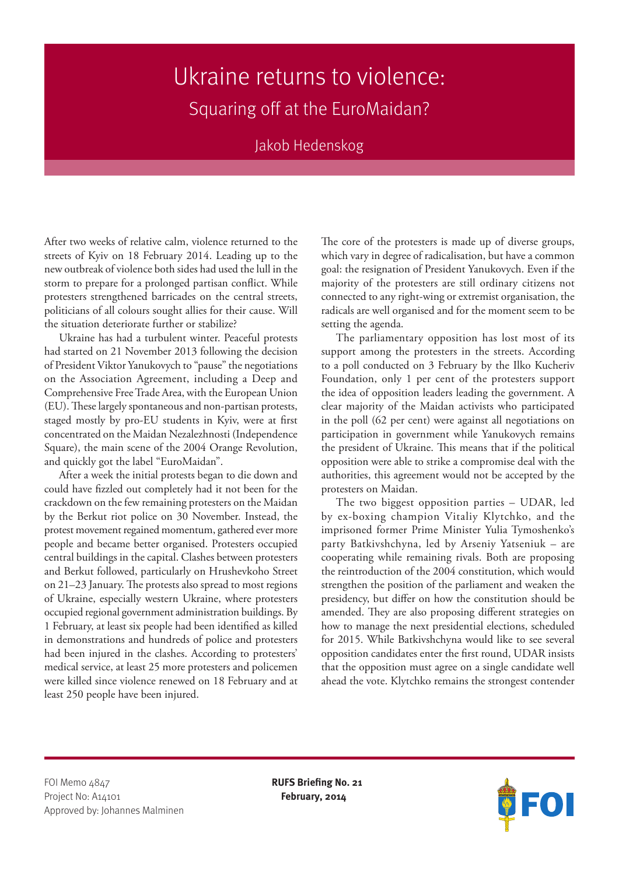## Ukraine returns to violence: Squaring off at the EuroMaidan?

## Jakob Hedenskog

After two weeks of relative calm, violence returned to the streets of Kyiv on 18 February 2014. Leading up to the new outbreak of violence both sides had used the lull in the storm to prepare for a prolonged partisan conflict. While protesters strengthened barricades on the central streets, politicians of all colours sought allies for their cause. Will the situation deteriorate further or stabilize?

Ukraine has had a turbulent winter. Peaceful protests had started on 21 November 2013 following the decision of President Viktor Yanukovych to "pause" the negotiations on the Association Agreement, including a Deep and Comprehensive Free Trade Area, with the European Union (EU). These largely spontaneous and non-partisan protests, staged mostly by pro-EU students in Kyiv, were at first concentrated on the Maidan Nezalezhnosti (Independence Square), the main scene of the 2004 Orange Revolution, and quickly got the label "EuroMaidan".

After a week the initial protests began to die down and could have fizzled out completely had it not been for the crackdown on the few remaining protesters on the Maidan by the Berkut riot police on 30 November. Instead, the protest movement regained momentum, gathered ever more people and became better organised. Protesters occupied central buildings in the capital. Clashes between protesters and Berkut followed, particularly on Hrushevkoho Street on 21–23 January. The protests also spread to most regions of Ukraine, especially western Ukraine, where protesters occupied regional government administration buildings. By 1 February, at least six people had been identified as killed in demonstrations and hundreds of police and protesters had been injured in the clashes. According to protesters' medical service, at least 25 more protesters and policemen were killed since violence renewed on 18 February and at least 250 people have been injured.

The core of the protesters is made up of diverse groups, which vary in degree of radicalisation, but have a common goal: the resignation of President Yanukovych. Even if the majority of the protesters are still ordinary citizens not connected to any right-wing or extremist organisation, the radicals are well organised and for the moment seem to be setting the agenda.

The parliamentary opposition has lost most of its support among the protesters in the streets. According to a poll conducted on 3 February by the Ilko Kucheriv Foundation, only 1 per cent of the protesters support the idea of opposition leaders leading the government. A clear majority of the Maidan activists who participated in the poll (62 per cent) were against all negotiations on participation in government while Yanukovych remains the president of Ukraine. This means that if the political opposition were able to strike a compromise deal with the authorities, this agreement would not be accepted by the protesters on Maidan.

The two biggest opposition parties – UDAR, led by ex-boxing champion Vitaliy Klytchko, and the imprisoned former Prime Minister Yulia Tymoshenko's party Batkivshchyna, led by Arseniy Yatseniuk – are cooperating while remaining rivals. Both are proposing the reintroduction of the 2004 constitution, which would strengthen the position of the parliament and weaken the presidency, but differ on how the constitution should be amended. They are also proposing different strategies on how to manage the next presidential elections, scheduled for 2015. While Batkivshchyna would like to see several opposition candidates enter the first round, UDAR insists that the opposition must agree on a single candidate well ahead the vote. Klytchko remains the strongest contender

FOI Memo 4847 **RUFS Briefing No. 21** Project No: A14101 **February, 2014** Approved by: Johannes Malminen